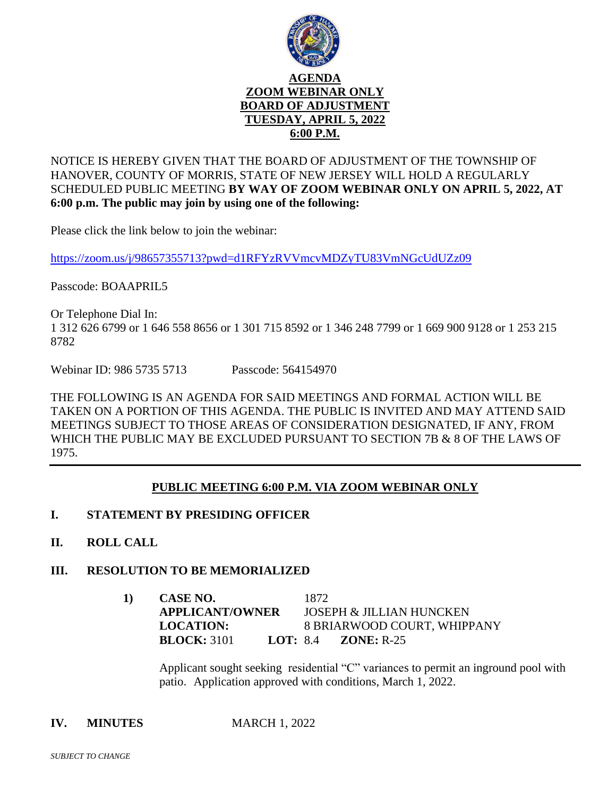

NOTICE IS HEREBY GIVEN THAT THE BOARD OF ADJUSTMENT OF THE TOWNSHIP OF HANOVER, COUNTY OF MORRIS, STATE OF NEW JERSEY WILL HOLD A REGULARLY SCHEDULED PUBLIC MEETING **BY WAY OF ZOOM WEBINAR ONLY ON APRIL 5, 2022, AT 6:00 p.m. The public may join by using one of the following:**

Please click the link below to join the webinar:

<https://zoom.us/j/98657355713?pwd=d1RFYzRVVmcvMDZyTU83VmNGcUdUZz09>

Passcode: BOAAPRIL5

Or Telephone Dial In: 1 312 626 6799 or 1 646 558 8656 or 1 301 715 8592 or 1 346 248 7799 or 1 669 900 9128 or 1 253 215 8782

Webinar ID: 986 5735 5713 Passcode: 564154970

THE FOLLOWING IS AN AGENDA FOR SAID MEETINGS AND FORMAL ACTION WILL BE TAKEN ON A PORTION OF THIS AGENDA. THE PUBLIC IS INVITED AND MAY ATTEND SAID MEETINGS SUBJECT TO THOSE AREAS OF CONSIDERATION DESIGNATED, IF ANY, FROM WHICH THE PUBLIC MAY BE EXCLUDED PURSUANT TO SECTION 7B & 8 OF THE LAWS OF 1975.

# **PUBLIC MEETING 6:00 P.M. VIA ZOOM WEBINAR ONLY**

- **I. STATEMENT BY PRESIDING OFFICER**
- **II. ROLL CALL**

# **III. RESOLUTION TO BE MEMORIALIZED**

|  | CASE NO.<br><b>APPLICANT/OWNER</b> |  | 1872.                               |                                     |
|--|------------------------------------|--|-------------------------------------|-------------------------------------|
|  |                                    |  | <b>JOSEPH &amp; JILLIAN HUNCKEN</b> |                                     |
|  | <b>LOCATION:</b>                   |  |                                     | 8 BRIARWOOD COURT, WHIPPANY         |
|  | <b>BLOCK:</b> 3101                 |  |                                     | <b>LOT:</b> 8.4 <b>ZONE:</b> $R-25$ |

Applicant sought seeking residential "C" variances to permit an inground pool with patio. Application approved with conditions, March 1, 2022.

**IV. MINUTES MARCH 1, 2022**